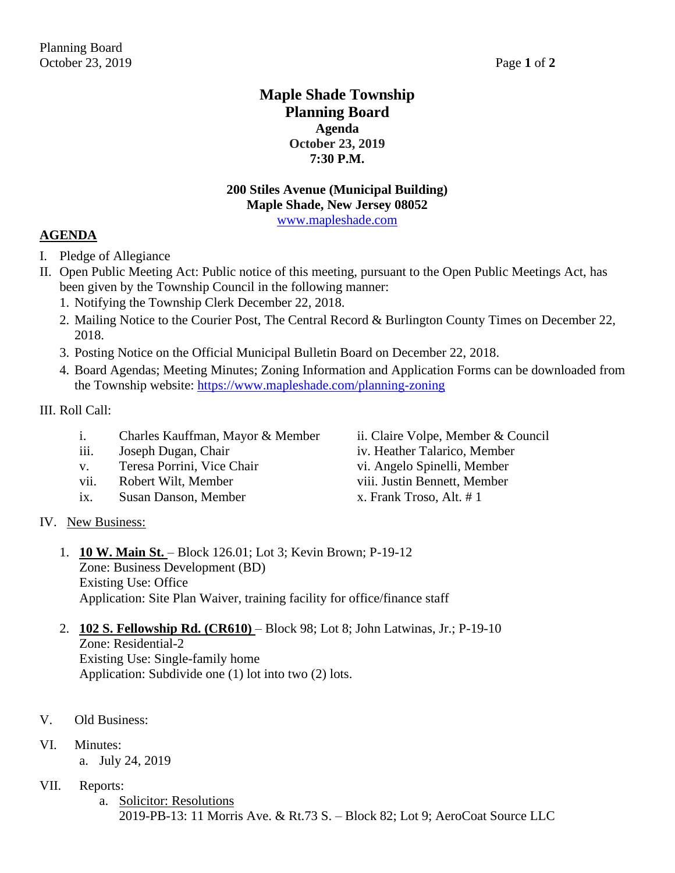### **Maple Shade Township Planning Board Agenda October 23, 2019 7:30 P.M.**

## **200 Stiles Avenue (Municipal Building) Maple Shade, New Jersey 08052**

[www.mapleshade.com](http://www.mapleshade.com/)

#### **AGENDA**

- I. Pledge of Allegiance
- II. Open Public Meeting Act: Public notice of this meeting, pursuant to the Open Public Meetings Act, has been given by the Township Council in the following manner:
	- 1. Notifying the Township Clerk December 22, 2018.
	- 2. Mailing Notice to the Courier Post, The Central Record & Burlington County Times on December 22, 2018.
	- 3. Posting Notice on the Official Municipal Bulletin Board on December 22, 2018.
	- 4. Board Agendas; Meeting Minutes; Zoning Information and Application Forms can be downloaded from the Township website:<https://www.mapleshade.com/planning-zoning>

#### III. Roll Call:

- i. Charles Kauffman, Mayor & Member ii. Claire Volpe, Member & Council
- 
- v. Teresa Porrini, Vice Chair vi. Angelo Spinelli, Member
- vii. Robert Wilt, Member viii. Justin Bennett, Member
- ix. Susan Danson, Member x. Frank Troso, Alt. # 1
- iii. Joseph Dugan, Chair iv. Heather Talarico, Member
	-

- IV. New Business:
	- 1. **10 W. Main St.**  Block 126.01; Lot 3; Kevin Brown; P-19-12 Zone: Business Development (BD) Existing Use: Office Application: Site Plan Waiver, training facility for office/finance staff
	- 2. **102 S. Fellowship Rd. (CR610)**  Block 98; Lot 8; John Latwinas, Jr.; P-19-10 Zone: Residential-2

Existing Use: Single-family home Application: Subdivide one (1) lot into two (2) lots.

- V. Old Business:
- VI. Minutes:
	- a. July 24, 2019
- VII. Reports:
	- a. Solicitor: Resolutions 2019-PB-13: 11 Morris Ave. & Rt.73 S. – Block 82; Lot 9; AeroCoat Source LLC